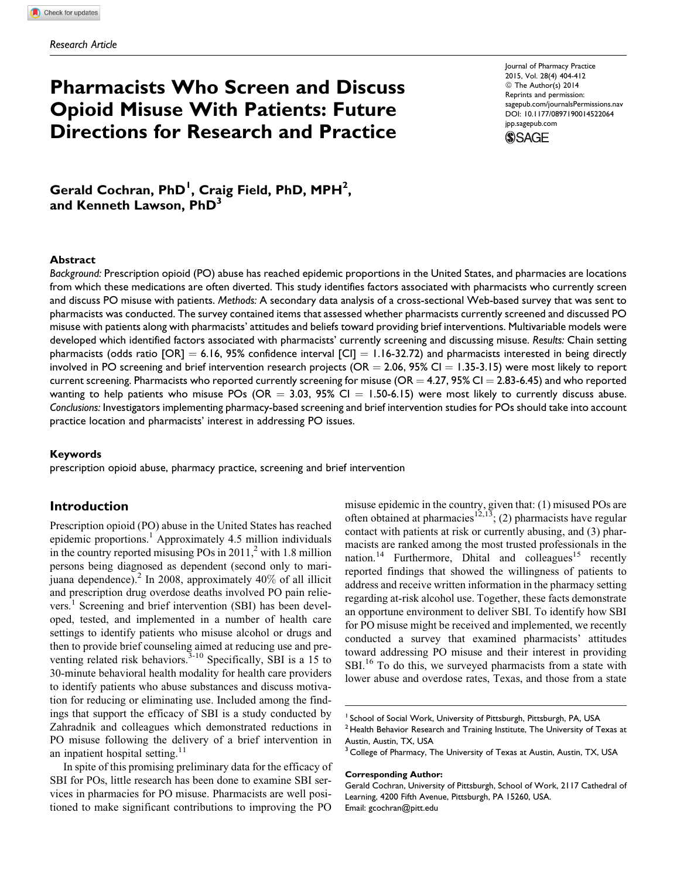# Pharmacists Who Screen and Discuss Opioid Misuse With Patients: Future Directions for Research and Practice

Journal of Pharmacy Practice 2015, Vol. 28(4) 404-412 © The Author(s) 2014 Reprints and permission: [sagepub.com/journalsPermissions.nav](http://www.sagepub.com/journalsPermissions.nav) DOI: 10.1177/0897190014522064 [jpp.sagepub.com](http://jpp.sagepub.com)



Gerald Cochran, PhD<sup>1</sup>, Craig Field, PhD, MPH<sup>2</sup>, and Kenneth Lawson, PhD<sup>3</sup>

#### Abstract

Background: Prescription opioid (PO) abuse has reached epidemic proportions in the United States, and pharmacies are locations from which these medications are often diverted. This study identifies factors associated with pharmacists who currently screen and discuss PO misuse with patients. Methods: A secondary data analysis of a cross-sectional Web-based survey that was sent to pharmacists was conducted. The survey contained items that assessed whether pharmacists currently screened and discussed PO misuse with patients along with pharmacists' attitudes and beliefs toward providing brief interventions. Multivariable models were developed which identified factors associated with pharmacists' currently screening and discussing misuse. Results: Chain setting pharmacists (odds ratio  $[OR] = 6.16$ , 95% confidence interval  $[CI] = 1.16-32.72$ ) and pharmacists interested in being directly involved in PO screening and brief intervention research projects ( $OR = 2.06$ ,  $95\%$  CI = 1.35-3.15) were most likely to report current screening. Pharmacists who reported currently screening for misuse ( $OR = 4.27$ ,  $95\%$  CI  $= 2.83-6.45$ ) and who reported wanting to help patients who misuse POs (OR  $=$  3.03, 95% CI  $=$  1.50-6.15) were most likely to currently discuss abuse. Conclusions: Investigators implementing pharmacy-based screening and brief intervention studies for POs should take into account practice location and pharmacists' interest in addressing PO issues.

#### Keywords

prescription opioid abuse, pharmacy practice, screening and brief intervention

## Introduction

Prescription opioid (PO) abuse in the United States has reached epidemic proportions.<sup>1</sup> Approximately 4.5 million individuals in the country reported misusing POs in  $2011$ <sup>2</sup> with 1.8 million persons being diagnosed as dependent (second only to marijuana dependence).<sup>2</sup> In 2008, approximately 40% of all illicit and prescription drug overdose deaths involved PO pain relievers.<sup>1</sup> Screening and brief intervention (SBI) has been developed, tested, and implemented in a number of health care settings to identify patients who misuse alcohol or drugs and then to provide brief counseling aimed at reducing use and preventing related risk behaviors.<sup>3-10</sup> Specifically, SBI is a 15 to 30-minute behavioral health modality for health care providers to identify patients who abuse substances and discuss motivation for reducing or eliminating use. Included among the findings that support the efficacy of SBI is a study conducted by Zahradnik and colleagues which demonstrated reductions in PO misuse following the delivery of a brief intervention in an inpatient hospital setting.<sup>11</sup>

In spite of this promising preliminary data for the efficacy of SBI for POs, little research has been done to examine SBI services in pharmacies for PO misuse. Pharmacists are well positioned to make significant contributions to improving the PO

misuse epidemic in the country, given that: (1) misused POs are often obtained at pharmacies<sup>12,13</sup>; (2) pharmacists have regular contact with patients at risk or currently abusing, and (3) pharmacists are ranked among the most trusted professionals in the nation.<sup>14</sup> Furthermore, Dhital and colleagues<sup>15</sup> recently reported findings that showed the willingness of patients to address and receive written information in the pharmacy setting regarding at-risk alcohol use. Together, these facts demonstrate an opportune environment to deliver SBI. To identify how SBI for PO misuse might be received and implemented, we recently conducted a survey that examined pharmacists' attitudes toward addressing PO misuse and their interest in providing  $SBI<sup>16</sup>$  To do this, we surveyed pharmacists from a state with lower abuse and overdose rates, Texas, and those from a state

#### Corresponding Author:

<sup>&</sup>lt;sup>1</sup> School of Social Work, University of Pittsburgh, Pittsburgh, PA, USA  $2$  Health Behavior Research and Training Institute, The University of Texas at Austin, Austin, TX, USA

<sup>&</sup>lt;sup>3</sup> College of Pharmacy, The University of Texas at Austin, Austin, TX, USA

Gerald Cochran, University of Pittsburgh, School of Work, 2117 Cathedral of Learning, 4200 Fifth Avenue, Pittsburgh, PA 15260, USA. Email: gcochran@pitt.edu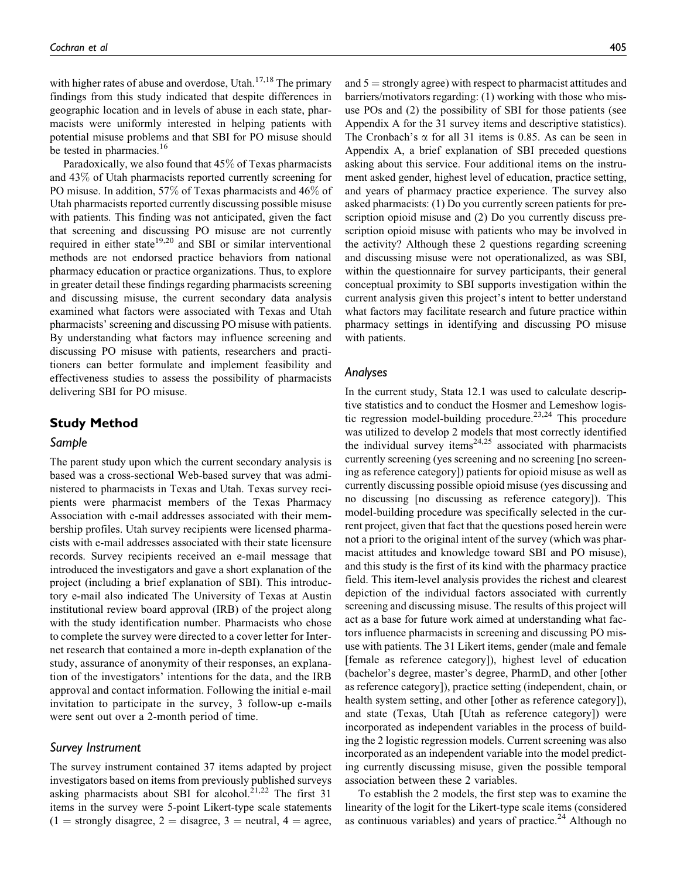with higher rates of abuse and overdose, Utah. $17,18$  The primary findings from this study indicated that despite differences in geographic location and in levels of abuse in each state, pharmacists were uniformly interested in helping patients with potential misuse problems and that SBI for PO misuse should be tested in pharmacies.<sup>16</sup>

Paradoxically, we also found that 45% of Texas pharmacists and 43% of Utah pharmacists reported currently screening for PO misuse. In addition, 57% of Texas pharmacists and 46% of Utah pharmacists reported currently discussing possible misuse with patients. This finding was not anticipated, given the fact that screening and discussing PO misuse are not currently required in either state<sup>19,20</sup> and SBI or similar interventional methods are not endorsed practice behaviors from national pharmacy education or practice organizations. Thus, to explore in greater detail these findings regarding pharmacists screening and discussing misuse, the current secondary data analysis examined what factors were associated with Texas and Utah pharmacists' screening and discussing PO misuse with patients. By understanding what factors may influence screening and discussing PO misuse with patients, researchers and practitioners can better formulate and implement feasibility and effectiveness studies to assess the possibility of pharmacists delivering SBI for PO misuse.

## Study Method

#### Sample

The parent study upon which the current secondary analysis is based was a cross-sectional Web-based survey that was administered to pharmacists in Texas and Utah. Texas survey recipients were pharmacist members of the Texas Pharmacy Association with e-mail addresses associated with their membership profiles. Utah survey recipients were licensed pharmacists with e-mail addresses associated with their state licensure records. Survey recipients received an e-mail message that introduced the investigators and gave a short explanation of the project (including a brief explanation of SBI). This introductory e-mail also indicated The University of Texas at Austin institutional review board approval (IRB) of the project along with the study identification number. Pharmacists who chose to complete the survey were directed to a cover letter for Internet research that contained a more in-depth explanation of the study, assurance of anonymity of their responses, an explanation of the investigators' intentions for the data, and the IRB approval and contact information. Following the initial e-mail invitation to participate in the survey, 3 follow-up e-mails were sent out over a 2-month period of time.

### Survey Instrument

The survey instrument contained 37 items adapted by project investigators based on items from previously published surveys asking pharmacists about SBI for alcohol.<sup>21,22</sup> The first 31 items in the survey were 5-point Likert-type scale statements  $(1 =$  strongly disagree,  $2 =$  disagree,  $3 =$  neutral,  $4 =$  agree, and  $5 =$  strongly agree) with respect to pharmacist attitudes and barriers/motivators regarding: (1) working with those who misuse POs and (2) the possibility of SBI for those patients (see Appendix A for the 31 survey items and descriptive statistics). The Cronbach's  $\alpha$  for all 31 items is 0.85. As can be seen in Appendix A, a brief explanation of SBI preceded questions asking about this service. Four additional items on the instrument asked gender, highest level of education, practice setting, and years of pharmacy practice experience. The survey also asked pharmacists: (1) Do you currently screen patients for prescription opioid misuse and (2) Do you currently discuss prescription opioid misuse with patients who may be involved in the activity? Although these 2 questions regarding screening and discussing misuse were not operationalized, as was SBI, within the questionnaire for survey participants, their general conceptual proximity to SBI supports investigation within the current analysis given this project's intent to better understand what factors may facilitate research and future practice within pharmacy settings in identifying and discussing PO misuse with patients.

## Analyses

In the current study, Stata 12.1 was used to calculate descriptive statistics and to conduct the Hosmer and Lemeshow logistic regression model-building procedure.<sup>23,24</sup> This procedure was utilized to develop 2 models that most correctly identified the individual survey items<sup>24,25</sup> associated with pharmacists currently screening (yes screening and no screening [no screening as reference category]) patients for opioid misuse as well as currently discussing possible opioid misuse (yes discussing and no discussing [no discussing as reference category]). This model-building procedure was specifically selected in the current project, given that fact that the questions posed herein were not a priori to the original intent of the survey (which was pharmacist attitudes and knowledge toward SBI and PO misuse), and this study is the first of its kind with the pharmacy practice field. This item-level analysis provides the richest and clearest depiction of the individual factors associated with currently screening and discussing misuse. The results of this project will act as a base for future work aimed at understanding what factors influence pharmacists in screening and discussing PO misuse with patients. The 31 Likert items, gender (male and female [female as reference category]), highest level of education (bachelor's degree, master's degree, PharmD, and other [other as reference category]), practice setting (independent, chain, or health system setting, and other [other as reference category]), and state (Texas, Utah [Utah as reference category]) were incorporated as independent variables in the process of building the 2 logistic regression models. Current screening was also incorporated as an independent variable into the model predicting currently discussing misuse, given the possible temporal association between these 2 variables.

To establish the 2 models, the first step was to examine the linearity of the logit for the Likert-type scale items (considered as continuous variables) and years of practice. $^{24}$  Although no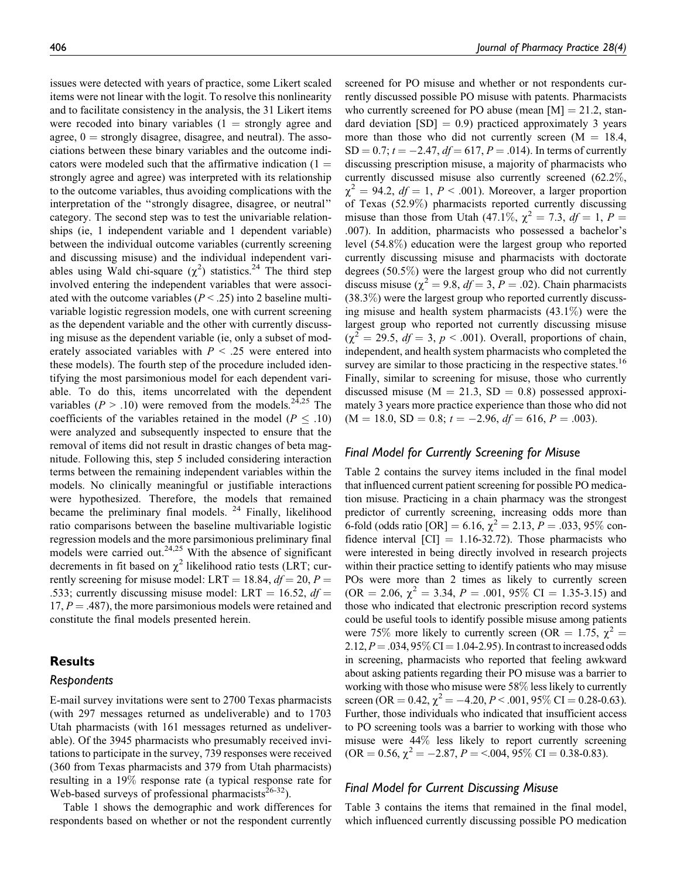issues were detected with years of practice, some Likert scaled items were not linear with the logit. To resolve this nonlinearity and to facilitate consistency in the analysis, the 31 Likert items were recoded into binary variables  $(1 =$  strongly agree and agree,  $0 =$  strongly disagree, disagree, and neutral). The associations between these binary variables and the outcome indicators were modeled such that the affirmative indication  $(1$ strongly agree and agree) was interpreted with its relationship to the outcome variables, thus avoiding complications with the interpretation of the ''strongly disagree, disagree, or neutral'' category. The second step was to test the univariable relationships (ie, 1 independent variable and 1 dependent variable) between the individual outcome variables (currently screening and discussing misuse) and the individual independent variables using Wald chi-square  $(\chi^2)$  statistics.<sup>24</sup> The third step involved entering the independent variables that were associated with the outcome variables ( $P < .25$ ) into 2 baseline multivariable logistic regression models, one with current screening as the dependent variable and the other with currently discussing misuse as the dependent variable (ie, only a subset of moderately associated variables with  $P < .25$  were entered into these models). The fourth step of the procedure included identifying the most parsimonious model for each dependent variable. To do this, items uncorrelated with the dependent variables ( $P > .10$ ) were removed from the models.<sup>24,25</sup> The coefficients of the variables retained in the model ( $P \leq .10$ ) were analyzed and subsequently inspected to ensure that the removal of items did not result in drastic changes of beta magnitude. Following this, step 5 included considering interaction terms between the remaining independent variables within the models. No clinically meaningful or justifiable interactions were hypothesized. Therefore, the models that remained became the preliminary final models. <sup>24</sup> Finally, likelihood ratio comparisons between the baseline multivariable logistic regression models and the more parsimonious preliminary final models were carried out.<sup>24,25</sup> With the absence of significant decrements in fit based on  $\chi^2$  likelihood ratio tests (LRT; currently screening for misuse model: LRT = 18.84,  $df = 20$ ,  $P =$ .533; currently discussing misuse model: LRT = 16.52,  $df =$  $17, P = .487$ , the more parsimonious models were retained and constitute the final models presented herein.

## Results

#### Respondents

E-mail survey invitations were sent to 2700 Texas pharmacists (with 297 messages returned as undeliverable) and to 1703 Utah pharmacists (with 161 messages returned as undeliverable). Of the 3945 pharmacists who presumably received invitations to participate in the survey, 739 responses were received (360 from Texas pharmacists and 379 from Utah pharmacists) resulting in a 19% response rate (a typical response rate for Web-based surveys of professional pharmacists<sup>26-32</sup>).

Table 1 shows the demographic and work differences for respondents based on whether or not the respondent currently

screened for PO misuse and whether or not respondents currently discussed possible PO misuse with patents. Pharmacists who currently screened for PO abuse (mean  $[M] = 21.2$ , standard deviation  $[SD] = 0.9$ ) practiced approximately 3 years more than those who did not currently screen  $(M = 18.4,$  $SD = 0.7$ ;  $t = -2.47$ ,  $df = 617$ ,  $P = .014$ ). In terms of currently discussing prescription misuse, a majority of pharmacists who currently discussed misuse also currently screened (62.2%,  $\chi^2$  = 94.2,  $df = 1$ , P < .001). Moreover, a larger proportion of Texas (52.9%) pharmacists reported currently discussing misuse than those from Utah (47.1%,  $\chi^2 = 7.3$ ,  $df = 1$ ,  $P =$ .007). In addition, pharmacists who possessed a bachelor's level (54.8%) education were the largest group who reported currently discussing misuse and pharmacists with doctorate degrees (50.5%) were the largest group who did not currently discuss misuse ( $\chi^2 = 9.8$ ,  $df = 3$ ,  $P = .02$ ). Chain pharmacists (38.3%) were the largest group who reported currently discussing misuse and health system pharmacists (43.1%) were the largest group who reported not currently discussing misuse  $(\chi^2 = 29.5, df = 3, p < .001)$ . Overall, proportions of chain, independent, and health system pharmacists who completed the survey are similar to those practicing in the respective states.<sup>16</sup> Finally, similar to screening for misuse, those who currently discussed misuse ( $M = 21.3$ , SD = 0.8) possessed approximately 3 years more practice experience than those who did not  $(M = 18.0, SD = 0.8; t = -2.96, df = 616, P = .003).$ 

# Final Model for Currently Screening for Misuse

Table 2 contains the survey items included in the final model that influenced current patient screening for possible PO medication misuse. Practicing in a chain pharmacy was the strongest predictor of currently screening, increasing odds more than 6-fold (odds ratio [OR] = 6.16,  $\chi^2$  = 2.13, P = .033, 95% confidence interval  $\text{[CI]} = 1.16-32.72$ ). Those pharmacists who were interested in being directly involved in research projects within their practice setting to identify patients who may misuse POs were more than 2 times as likely to currently screen  $(OR = 2.06, \chi^2 = 3.34, P = .001, 95\% \text{ CI} = 1.35-3.15)$  and those who indicated that electronic prescription record systems could be useful tools to identify possible misuse among patients were 75% more likely to currently screen (OR = 1.75,  $\chi^2$  = 2.12,  $P = .034, 95\%$  CI = 1.04-2.95). In contrast to increased odds in screening, pharmacists who reported that feeling awkward about asking patients regarding their PO misuse was a barrier to working with those who misuse were 58% less likely to currently screen (OR = 0.42,  $\chi^2$  = -4.20, P < .001, 95% CI = 0.28-0.63). Further, those individuals who indicated that insufficient access to PO screening tools was a barrier to working with those who misuse were 44% less likely to report currently screening  $(OR = 0.56, \chi^2 = -2.87, P = 0.04, 95\% \text{ CI} = 0.38 - 0.83).$ 

# Final Model for Current Discussing Misuse

Table 3 contains the items that remained in the final model, which influenced currently discussing possible PO medication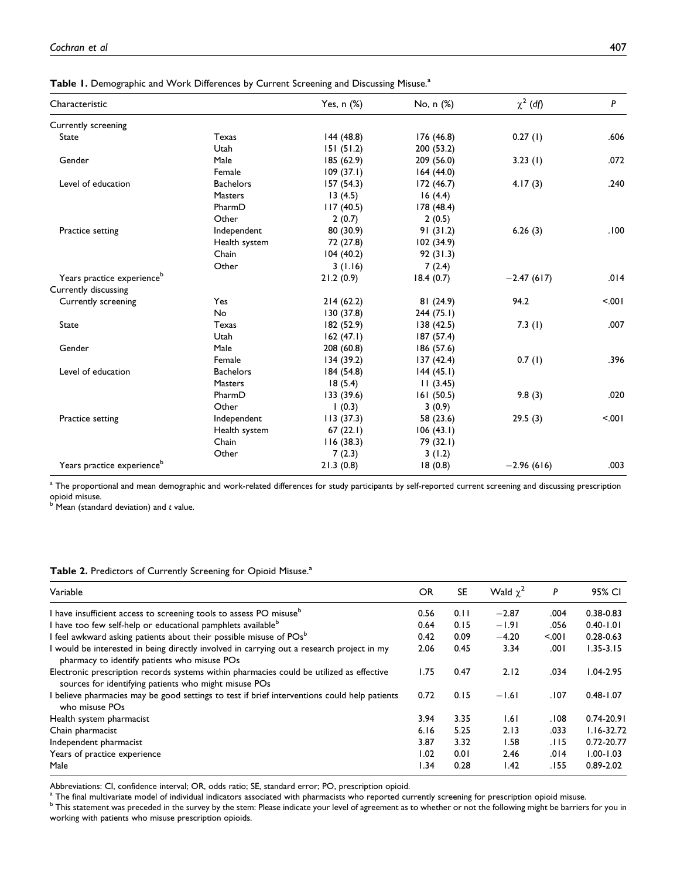| Table 1. Demographic and Work Differences by Current Screening and Discussing Misuse. <sup>a</sup> |  |
|----------------------------------------------------------------------------------------------------|--|
|----------------------------------------------------------------------------------------------------|--|

| Characteristic                         |                  | Yes, n (%) | No, n (%)  | $\chi^2$ (df) | P       |
|----------------------------------------|------------------|------------|------------|---------------|---------|
| Currently screening                    |                  |            |            |               |         |
| State                                  | Texas            | 144(48.8)  | 176 (46.8) | 0.27(1)       | .606    |
|                                        | Utah             | 151(51.2)  | 200 (53.2) |               |         |
| Gender                                 | Male             | 185 (62.9) | 209 (56.0) | 3.23(1)       | .072    |
|                                        | Female           | 109(37.1)  | 164(44.0)  |               |         |
| Level of education                     | <b>Bachelors</b> | 157(54.3)  | 172 (46.7) | 4.17(3)       | .240    |
|                                        | <b>Masters</b>   | 13(4.5)    | 16(4.4)    |               |         |
|                                        | PharmD           | 117(40.5)  | 178(48.4)  |               |         |
|                                        | Other            | 2(0.7)     | 2(0.5)     |               |         |
| Practice setting                       | Independent      | 80 (30.9)  | 91(31.2)   | 6.26(3)       | .100    |
|                                        | Health system    | 72 (27.8)  | 102(34.9)  |               |         |
|                                        | Chain            | 104(40.2)  | 92(31.3)   |               |         |
|                                        | Other            | 3(1.16)    | 7(2.4)     |               |         |
| Years practice experience <sup>b</sup> |                  | 21.2(0.9)  | 18.4(0.7)  | $-2.47(617)$  | .014    |
| Currently discussing                   |                  |            |            |               |         |
| Currently screening                    | Yes              | 214(62.2)  | 81(24.9)   | 94.2          | $500 -$ |
|                                        | <b>No</b>        | 130(37.8)  | 244(75.1)  |               |         |
| State                                  | Texas            | 182 (52.9) | 138(42.5)  | 7.3(1)        | .007    |
|                                        | Utah             | 162(47.1)  | 187(57.4)  |               |         |
| Gender                                 | Male             | 208 (60.8) | 186 (57.6) |               |         |
|                                        | Female           | 134(39.2)  | 137(42.4)  | 0.7(1)        | .396    |
| Level of education                     | <b>Bachelors</b> | 184 (54.8) | 144(45.1)  |               |         |
|                                        | <b>Masters</b>   | 18(5.4)    | 11(3.45)   |               |         |
|                                        | PharmD           | 133(39.6)  | 161(50.5)  | 9.8(3)        | .020    |
|                                        | Other            | (0.3)      | 3(0.9)     |               |         |
| Practice setting                       | Independent      | 113(37.3)  | 58 (23.6)  | 29.5(3)       | 5.001   |
|                                        | Health system    | 67(22.1)   | 106(43.1)  |               |         |
|                                        | Chain            | 116(38.3)  | 79 (32.1)  |               |         |
|                                        | Other            | 7(2.3)     | 3(1.2)     |               |         |
| Years practice experience <sup>b</sup> |                  | 21.3(0.8)  | 18(0.8)    | $-2.96(616)$  | .003    |

<sup>a</sup> The proportional and mean demographic and work-related differences for study participants by self-reported current screening and discussing prescription

opioid misuse.<br><sup>b</sup> Mean (standard deviation) and *t* value.

#### Table 2. Predictors of Currently Screening for Opioid Misuse.<sup>a</sup>

| Variable                                                                                                                                          | OR   | <b>SE</b> | Wald $\gamma^2$ | P      | 95% CI         |
|---------------------------------------------------------------------------------------------------------------------------------------------------|------|-----------|-----------------|--------|----------------|
| I have insufficient access to screening tools to assess PO misuse <sup>b</sup>                                                                    | 0.56 | 0.11      | $-2.87$         | .004   | $0.38 - 0.83$  |
| I have too few self-help or educational pamphlets available <sup>b</sup>                                                                          | 0.64 | 0.15      | $-1.91$         | .056   | $0.40 - 1.01$  |
| I feel awkward asking patients about their possible misuse of POs <sup>b</sup>                                                                    | 0.42 | 0.09      | $-4.20$         | 5.001  | $0.28 - 0.63$  |
| I would be interested in being directly involved in carrying out a research project in my<br>pharmacy to identify patients who misuse POs         | 2.06 | 0.45      | 3.34            | .001   | $1.35 - 3.15$  |
| Electronic prescription records systems within pharmacies could be utilized as effective<br>sources for identifying patients who might misuse POs | 1.75 | 0.47      | 2.12            | .034   | $1.04 - 2.95$  |
| I believe pharmacies may be good settings to test if brief interventions could help patients<br>who misuse POs                                    | 0.72 | 0.15      | $-1.61$         | .107   | $0.48 - 1.07$  |
| Health system pharmacist                                                                                                                          | 3.94 | 3.35      | 1.61            | .108   | $0.74 - 20.91$ |
| Chain pharmacist                                                                                                                                  | 6.16 | 5.25      | 2.13            | .033   | $1.16 - 32.72$ |
| Independent pharmacist                                                                                                                            | 3.87 | 3.32      | 1.58            | .। । 5 | 0.72-20.77     |
| Years of practice experience                                                                                                                      | 1.02 | 0.01      | 2.46            | .014   | $1.00 - 1.03$  |
| Male                                                                                                                                              | I.34 | 0.28      | 1.42            | . 155  | $0.89 - 2.02$  |

Abbreviations: CI, confidence interval; OR, odds ratio; SE, standard error; PO, prescription opioid.<br><sup>a</sup> The final multivariate model of individual indicators associated with pharmacists who reported currently screening fo

b This statement was preceded in the survey by the stem: Please indicate your level of agreement as to whether or not the following might be barriers for you in working with patients who misuse prescription opioids.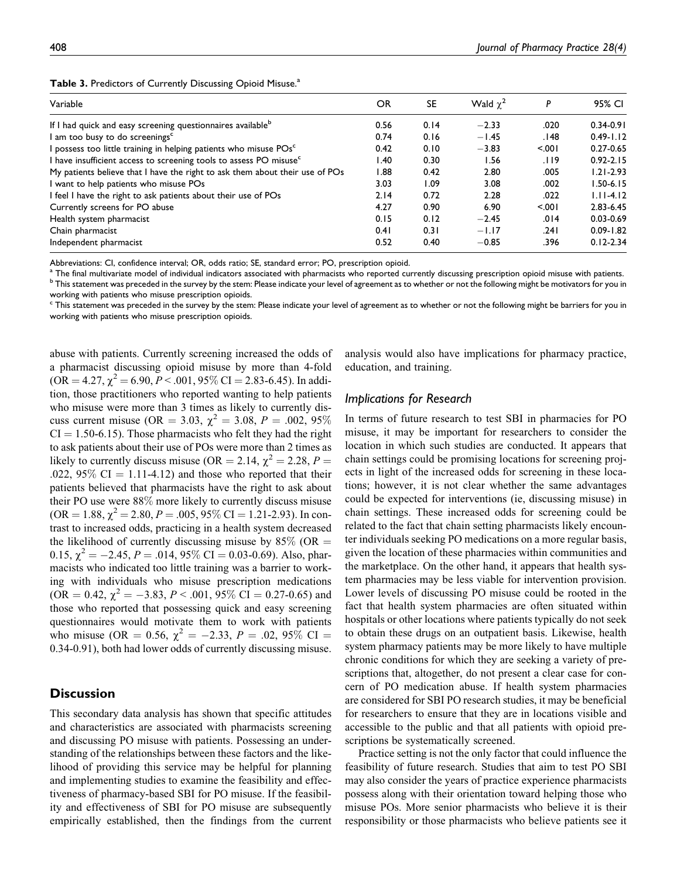| Variable                                                                       | <b>OR</b> | <b>SE</b> | Wald $\chi^2$ | P    | 95% CI        |
|--------------------------------------------------------------------------------|-----------|-----------|---------------|------|---------------|
| If I had quick and easy screening questionnaires available <sup>b</sup>        | 0.56      | 0.14      | $-2.33$       | .020 | $0.34 - 0.91$ |
| I am too busy to do screenings <sup>c</sup>                                    | 0.74      | 0.16      | $-1.45$       | 148. | $0.49 - 1.12$ |
| I possess too little training in helping patients who misuse POs <sup>c</sup>  | 0.42      | 0.10      | $-3.83$       | 5001 | $0.27 - 0.65$ |
| I have insufficient access to screening tools to assess PO misuse <sup>c</sup> | 40. ا     | 0.30      | 1.56          | .119 | $0.92 - 2.15$ |
| My patients believe that I have the right to ask them about their use of POs   | 1.88      | 0.42      | 2.80          | .005 | $1.21 - 2.93$ |
| I want to help patients who misuse POs                                         | 3.03      | 09. ا     | 3.08          | .002 | $1.50 - 6.15$ |
| I feel I have the right to ask patients about their use of POs                 | 2.14      | 0.72      | 2.28          | .022 | $1.11 - 4.12$ |
| Currently screens for PO abuse                                                 | 4.27      | 0.90      | 6.90          | 5001 | $2.83 - 6.45$ |
| Health system pharmacist                                                       | 0.15      | 0.12      | $-2.45$       | .014 | $0.03 - 0.69$ |
| Chain pharmacist                                                               | 0.41      | 0.31      | $-1.17$       | .241 | $0.09 - 1.82$ |
| Independent pharmacist                                                         | 0.52      | 0.40      | $-0.85$       | .396 | $0.12 - 2.34$ |

| Table 3. Predictors of Currently Discussing Opioid Misuse. <sup>a</sup> |  |  |  |  |  |  |
|-------------------------------------------------------------------------|--|--|--|--|--|--|
|-------------------------------------------------------------------------|--|--|--|--|--|--|

Abbreviations: CI, confidence interval; OR, odds ratio; SE, standard error; PO, prescription opioid.<br><sup>a</sup> The final multivariate model of individual indicators associated with pharmacists who reported currently discussing p <sup>b</sup> This statement was preceded in the survey by the stem: Please indicate your level of agreement as to whether or not the following might be motivators for you in working with patients who misuse prescription opioids.

 $\cdot$  This statement was preceded in the survey by the stem: Please indicate your level of agreement as to whether or not the following might be barriers for you in working with patients who misuse prescription opioids.

abuse with patients. Currently screening increased the odds of a pharmacist discussing opioid misuse by more than 4-fold  $(OR = 4.27, \chi^2 = 6.90, P < .001, 95\% \text{ CI} = 2.83-6.45)$ . In addition, those practitioners who reported wanting to help patients who misuse were more than 3 times as likely to currently discuss current misuse (OR = 3.03,  $\chi^2$  = 3.08, P = .002, 95%  $CI = 1.50 - 6.15$ . Those pharmacists who felt they had the right to ask patients about their use of POs were more than 2 times as likely to currently discuss misuse (OR = 2.14,  $\chi^2$  = 2.28, P = .022, 95\% CI = 1.11-4.12) and those who reported that their patients believed that pharmacists have the right to ask about their PO use were 88% more likely to currently discuss misuse  $(OR = 1.88, \chi^2 = 2.80, P = .005, 95\% \text{ CI} = 1.21 - 2.93)$ . In contrast to increased odds, practicing in a health system decreased the likelihood of currently discussing misuse by  $85\%$  (OR  $=$ 0.15,  $\chi^2 = -2.45$ ,  $P = .014$ , 95% CI = 0.03-0.69). Also, pharmacists who indicated too little training was a barrier to working with individuals who misuse prescription medications  $(OR = 0.42, \chi^2 = -3.83, P < .001, 95\% \text{ CI} = 0.27 - 0.65)$  and those who reported that possessing quick and easy screening questionnaires would motivate them to work with patients who misuse (OR = 0.56,  $\chi^2 = -2.33$ ,  $P = .02$ , 95% CI = 0.34-0.91), both had lower odds of currently discussing misuse.

## **Discussion**

This secondary data analysis has shown that specific attitudes and characteristics are associated with pharmacists screening and discussing PO misuse with patients. Possessing an understanding of the relationships between these factors and the likelihood of providing this service may be helpful for planning and implementing studies to examine the feasibility and effectiveness of pharmacy-based SBI for PO misuse. If the feasibility and effectiveness of SBI for PO misuse are subsequently empirically established, then the findings from the current analysis would also have implications for pharmacy practice, education, and training.

## Implications for Research

In terms of future research to test SBI in pharmacies for PO misuse, it may be important for researchers to consider the location in which such studies are conducted. It appears that chain settings could be promising locations for screening projects in light of the increased odds for screening in these locations; however, it is not clear whether the same advantages could be expected for interventions (ie, discussing misuse) in chain settings. These increased odds for screening could be related to the fact that chain setting pharmacists likely encounter individuals seeking PO medications on a more regular basis, given the location of these pharmacies within communities and the marketplace. On the other hand, it appears that health system pharmacies may be less viable for intervention provision. Lower levels of discussing PO misuse could be rooted in the fact that health system pharmacies are often situated within hospitals or other locations where patients typically do not seek to obtain these drugs on an outpatient basis. Likewise, health system pharmacy patients may be more likely to have multiple chronic conditions for which they are seeking a variety of prescriptions that, altogether, do not present a clear case for concern of PO medication abuse. If health system pharmacies are considered for SBI PO research studies, it may be beneficial for researchers to ensure that they are in locations visible and accessible to the public and that all patients with opioid prescriptions be systematically screened.

Practice setting is not the only factor that could influence the feasibility of future research. Studies that aim to test PO SBI may also consider the years of practice experience pharmacists possess along with their orientation toward helping those who misuse POs. More senior pharmacists who believe it is their responsibility or those pharmacists who believe patients see it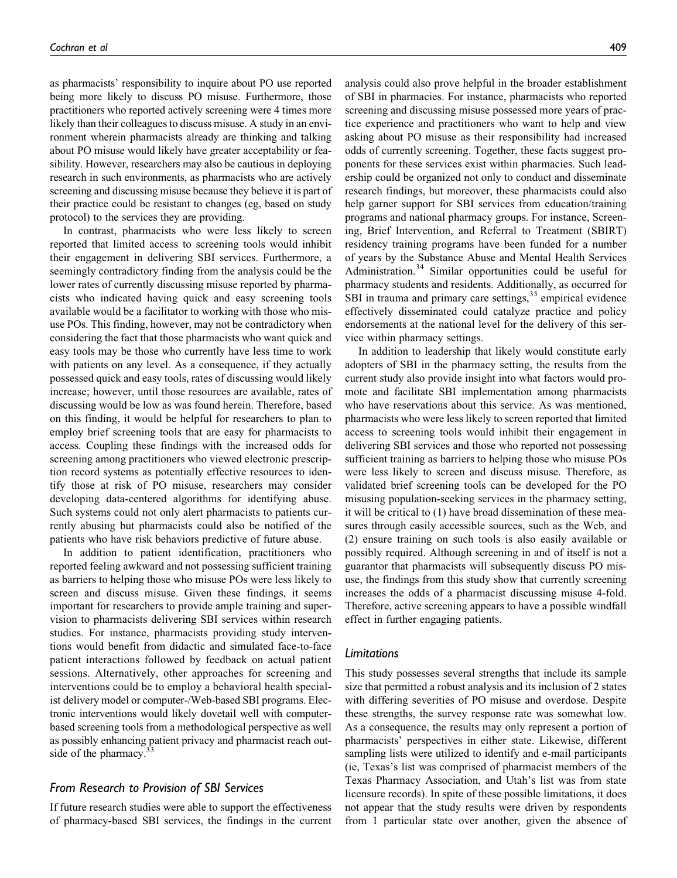as pharmacists' responsibility to inquire about PO use reported being more likely to discuss PO misuse. Furthermore, those practitioners who reported actively screening were 4 times more likely than their colleagues to discuss misuse. A study in an environment wherein pharmacists already are thinking and talking about PO misuse would likely have greater acceptability or feasibility. However, researchers may also be cautious in deploying research in such environments, as pharmacists who are actively screening and discussing misuse because they believe it is part of their practice could be resistant to changes (eg, based on study protocol) to the services they are providing.

In contrast, pharmacists who were less likely to screen reported that limited access to screening tools would inhibit their engagement in delivering SBI services. Furthermore, a seemingly contradictory finding from the analysis could be the lower rates of currently discussing misuse reported by pharmacists who indicated having quick and easy screening tools available would be a facilitator to working with those who misuse POs. This finding, however, may not be contradictory when considering the fact that those pharmacists who want quick and easy tools may be those who currently have less time to work with patients on any level. As a consequence, if they actually possessed quick and easy tools, rates of discussing would likely increase; however, until those resources are available, rates of discussing would be low as was found herein. Therefore, based on this finding, it would be helpful for researchers to plan to employ brief screening tools that are easy for pharmacists to access. Coupling these findings with the increased odds for screening among practitioners who viewed electronic prescription record systems as potentially effective resources to identify those at risk of PO misuse, researchers may consider developing data-centered algorithms for identifying abuse. Such systems could not only alert pharmacists to patients currently abusing but pharmacists could also be notified of the patients who have risk behaviors predictive of future abuse.

In addition to patient identification, practitioners who reported feeling awkward and not possessing sufficient training as barriers to helping those who misuse POs were less likely to screen and discuss misuse. Given these findings, it seems important for researchers to provide ample training and supervision to pharmacists delivering SBI services within research studies. For instance, pharmacists providing study interventions would benefit from didactic and simulated face-to-face patient interactions followed by feedback on actual patient sessions. Alternatively, other approaches for screening and interventions could be to employ a behavioral health specialist delivery model or computer-/Web-based SBI programs. Electronic interventions would likely dovetail well with computerbased screening tools from a methodological perspective as well as possibly enhancing patient privacy and pharmacist reach outside of the pharmacy.<sup>3</sup>

## From Research to Provision of SBI Services

If future research studies were able to support the effectiveness of pharmacy-based SBI services, the findings in the current analysis could also prove helpful in the broader establishment of SBI in pharmacies. For instance, pharmacists who reported screening and discussing misuse possessed more years of practice experience and practitioners who want to help and view asking about PO misuse as their responsibility had increased odds of currently screening. Together, these facts suggest proponents for these services exist within pharmacies. Such leadership could be organized not only to conduct and disseminate research findings, but moreover, these pharmacists could also help garner support for SBI services from education/training programs and national pharmacy groups. For instance, Screening, Brief Intervention, and Referral to Treatment (SBIRT) residency training programs have been funded for a number of years by the Substance Abuse and Mental Health Services Administration.<sup>34</sup> Similar opportunities could be useful for pharmacy students and residents. Additionally, as occurred for SBI in trauma and primary care settings,  $35$  empirical evidence effectively disseminated could catalyze practice and policy endorsements at the national level for the delivery of this service within pharmacy settings.

In addition to leadership that likely would constitute early adopters of SBI in the pharmacy setting, the results from the current study also provide insight into what factors would promote and facilitate SBI implementation among pharmacists who have reservations about this service. As was mentioned, pharmacists who were less likely to screen reported that limited access to screening tools would inhibit their engagement in delivering SBI services and those who reported not possessing sufficient training as barriers to helping those who misuse POs were less likely to screen and discuss misuse. Therefore, as validated brief screening tools can be developed for the PO misusing population-seeking services in the pharmacy setting, it will be critical to (1) have broad dissemination of these measures through easily accessible sources, such as the Web, and (2) ensure training on such tools is also easily available or possibly required. Although screening in and of itself is not a guarantor that pharmacists will subsequently discuss PO misuse, the findings from this study show that currently screening increases the odds of a pharmacist discussing misuse 4-fold. Therefore, active screening appears to have a possible windfall effect in further engaging patients.

#### Limitations

This study possesses several strengths that include its sample size that permitted a robust analysis and its inclusion of 2 states with differing severities of PO misuse and overdose. Despite these strengths, the survey response rate was somewhat low. As a consequence, the results may only represent a portion of pharmacists' perspectives in either state. Likewise, different sampling lists were utilized to identify and e-mail participants (ie, Texas's list was comprised of pharmacist members of the Texas Pharmacy Association, and Utah's list was from state licensure records). In spite of these possible limitations, it does not appear that the study results were driven by respondents from 1 particular state over another, given the absence of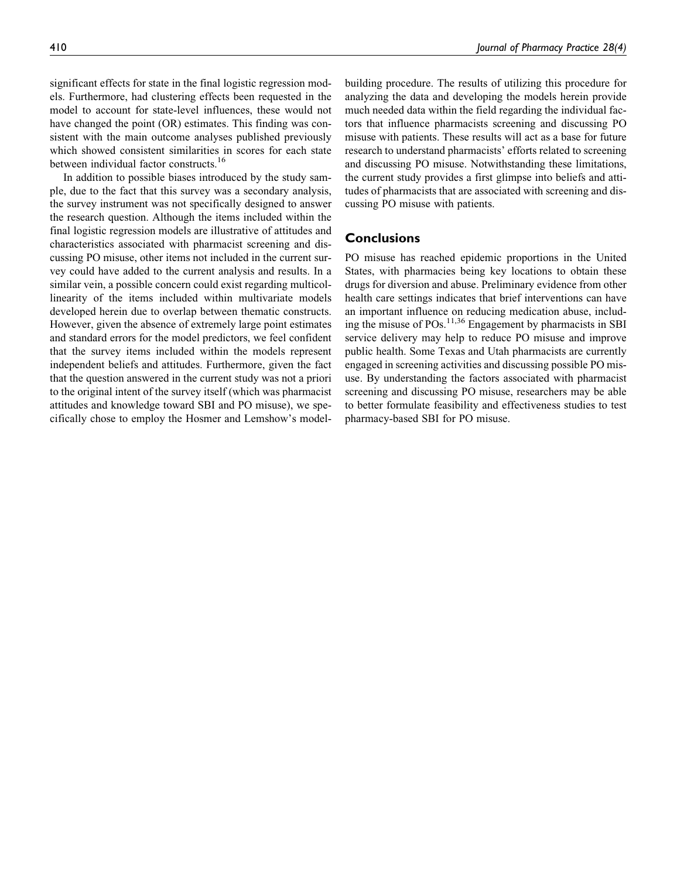significant effects for state in the final logistic regression models. Furthermore, had clustering effects been requested in the model to account for state-level influences, these would not have changed the point (OR) estimates. This finding was consistent with the main outcome analyses published previously which showed consistent similarities in scores for each state between individual factor constructs.<sup>16</sup>

In addition to possible biases introduced by the study sample, due to the fact that this survey was a secondary analysis, the survey instrument was not specifically designed to answer the research question. Although the items included within the final logistic regression models are illustrative of attitudes and characteristics associated with pharmacist screening and discussing PO misuse, other items not included in the current survey could have added to the current analysis and results. In a similar vein, a possible concern could exist regarding multicollinearity of the items included within multivariate models developed herein due to overlap between thematic constructs. However, given the absence of extremely large point estimates and standard errors for the model predictors, we feel confident that the survey items included within the models represent independent beliefs and attitudes. Furthermore, given the fact that the question answered in the current study was not a priori to the original intent of the survey itself (which was pharmacist attitudes and knowledge toward SBI and PO misuse), we specifically chose to employ the Hosmer and Lemshow's modelbuilding procedure. The results of utilizing this procedure for analyzing the data and developing the models herein provide much needed data within the field regarding the individual factors that influence pharmacists screening and discussing PO misuse with patients. These results will act as a base for future research to understand pharmacists' efforts related to screening and discussing PO misuse. Notwithstanding these limitations, the current study provides a first glimpse into beliefs and attitudes of pharmacists that are associated with screening and discussing PO misuse with patients.

## **Conclusions**

PO misuse has reached epidemic proportions in the United States, with pharmacies being key locations to obtain these drugs for diversion and abuse. Preliminary evidence from other health care settings indicates that brief interventions can have an important influence on reducing medication abuse, including the misuse of POs.11,36 Engagement by pharmacists in SBI service delivery may help to reduce PO misuse and improve public health. Some Texas and Utah pharmacists are currently engaged in screening activities and discussing possible PO misuse. By understanding the factors associated with pharmacist screening and discussing PO misuse, researchers may be able to better formulate feasibility and effectiveness studies to test pharmacy-based SBI for PO misuse.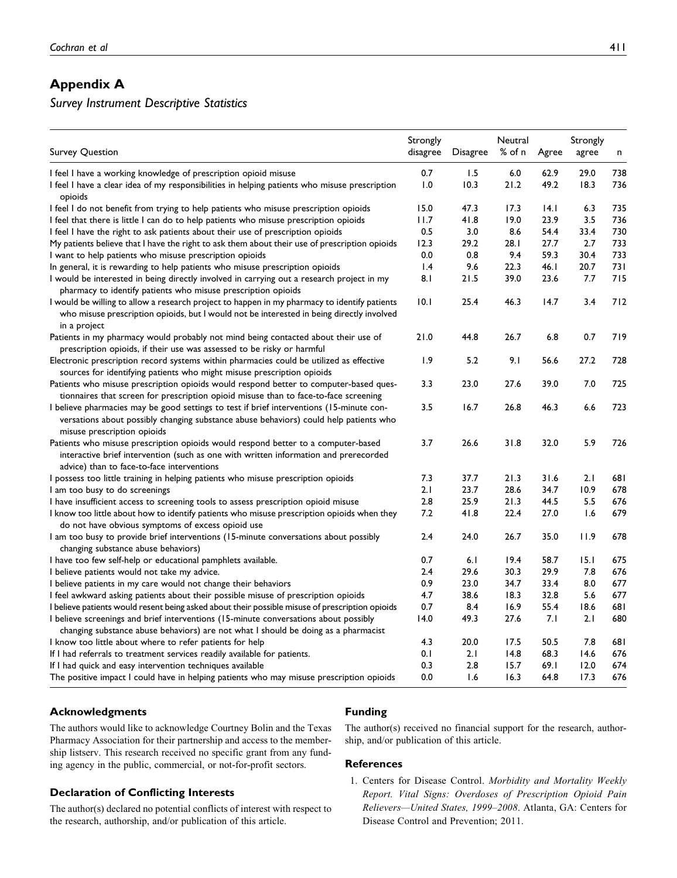# Appendix A

# Survey Instrument Descriptive Statistics

| <b>Survey Question</b>                                                                                                                                                                                                  | Strongly<br>disagree | <b>Disagree</b> | Neutral<br>% of n | Agree | Strongly<br>agree | n   |
|-------------------------------------------------------------------------------------------------------------------------------------------------------------------------------------------------------------------------|----------------------|-----------------|-------------------|-------|-------------------|-----|
| I feel I have a working knowledge of prescription opioid misuse                                                                                                                                                         | 0.7                  | 1.5             | 6.0               | 62.9  | 29.0              | 738 |
| I feel I have a clear idea of my responsibilities in helping patients who misuse prescription<br>opioids                                                                                                                | 1.0                  | 10.3            | 21.2              | 49.2  | 18.3              | 736 |
| I feel I do not benefit from trying to help patients who misuse prescription opioids                                                                                                                                    | 15.0                 | 47.3            | 17.3              | 4.1   | 6.3               | 735 |
| I feel that there is little I can do to help patients who misuse prescription opioids                                                                                                                                   | 11.7                 | 41.8            | 19.0              | 23.9  | 3.5               | 736 |
| I feel I have the right to ask patients about their use of prescription opioids                                                                                                                                         | 0.5                  | 3.0             | 8.6               | 54.4  | 33.4              | 730 |
| My patients believe that I have the right to ask them about their use of prescription opioids                                                                                                                           | 12.3                 | 29.2            | 28.I              | 27.7  | 2.7               | 733 |
| I want to help patients who misuse prescription opioids                                                                                                                                                                 | 0.0                  | 0.8             | 9.4               | 59.3  | 30.4              | 733 |
| In general, it is rewarding to help patients who misuse prescription opioids                                                                                                                                            | 1.4                  | 9.6             | 22.3              | 46.1  | 20.7              | 731 |
| I would be interested in being directly involved in carrying out a research project in my<br>pharmacy to identify patients who misuse prescription opioids                                                              | 8. I                 | 21.5            | 39.0              | 23.6  | 7.7               | 715 |
| I would be willing to allow a research project to happen in my pharmacy to identify patients<br>who misuse prescription opioids, but I would not be interested in being directly involved<br>in a project               | 10.1                 | 25.4            | 46.3              | 14.7  | 3.4               | 712 |
| Patients in my pharmacy would probably not mind being contacted about their use of<br>prescription opioids, if their use was assessed to be risky or harmful                                                            | 21.0                 | 44.8            | 26.7              | 6.8   | 0.7               | 719 |
| Electronic prescription record systems within pharmacies could be utilized as effective<br>sources for identifying patients who might misuse prescription opioids                                                       | 1.9                  | 5.2             | 9.1               | 56.6  | 27.2              | 728 |
| Patients who misuse prescription opioids would respond better to computer-based ques-<br>tionnaires that screen for prescription opioid misuse than to face-to-face screening                                           | 3.3                  | 23.0            | 27.6              | 39.0  | 7.0               | 725 |
| I believe pharmacies may be good settings to test if brief interventions (15-minute con-<br>versations about possibly changing substance abuse behaviors) could help patients who<br>misuse prescription opioids        | 3.5                  | 16.7            | 26.8              | 46.3  | 6.6               | 723 |
| Patients who misuse prescription opioids would respond better to a computer-based<br>interactive brief intervention (such as one with written information and prerecorded<br>advice) than to face-to-face interventions | 3.7                  | 26.6            | 31.8              | 32.0  | 5.9               | 726 |
| I possess too little training in helping patients who misuse prescription opioids                                                                                                                                       | 7.3                  | 37.7            | 21.3              | 31.6  | 2.1               | 681 |
| I am too busy to do screenings                                                                                                                                                                                          | 2. I                 | 23.7            | 28.6              | 34.7  | 10.9              | 678 |
| I have insufficient access to screening tools to assess prescription opioid misuse                                                                                                                                      | 2.8                  | 25.9            | 21.3              | 44.5  | 5.5               | 676 |
| I know too little about how to identify patients who misuse prescription opioids when they<br>do not have obvious symptoms of excess opioid use                                                                         | 7.2                  | 41.8            | 22.4              | 27.0  | 1.6               | 679 |
| I am too busy to provide brief interventions (15-minute conversations about possibly<br>changing substance abuse behaviors)                                                                                             | 2.4                  | 24.0            | 26.7              | 35.0  | 11.9              | 678 |
| I have too few self-help or educational pamphlets available.                                                                                                                                                            | 0.7                  | 6.1             | 19.4              | 58.7  | 15.1              | 675 |
| I believe patients would not take my advice.                                                                                                                                                                            | 2.4                  | 29.6            | 30.3              | 29.9  | 7.8               | 676 |
| I believe patients in my care would not change their behaviors                                                                                                                                                          | 0.9                  | 23.0            | 34.7              | 33.4  | 8.0               | 677 |
| I feel awkward asking patients about their possible misuse of prescription opioids                                                                                                                                      | 4.7                  | 38.6            | 18.3              | 32.8  | 5.6               | 677 |
| I believe patients would resent being asked about their possible misuse of prescription opioids                                                                                                                         | 0.7                  | 8.4             | 16.9              | 55.4  | 18.6              | 681 |
| I believe screenings and brief interventions (15-minute conversations about possibly                                                                                                                                    | 14.0                 | 49.3            | 27.6              | 7.1   | 2.1               | 680 |
| changing substance abuse behaviors) are not what I should be doing as a pharmacist                                                                                                                                      |                      |                 |                   |       |                   |     |
| I know too little about where to refer patients for help                                                                                                                                                                | 4.3                  | 20.0            | 17.5              | 50.5  | 7.8               | 681 |
| If I had referrals to treatment services readily available for patients.                                                                                                                                                | 0.1                  | 2.1             | 14.8              | 68.3  | 14.6              | 676 |
| If I had quick and easy intervention techniques available                                                                                                                                                               | 0.3                  | 2.8             | 15.7              | 69.1  | 12.0              | 674 |
| The positive impact I could have in helping patients who may misuse prescription opioids                                                                                                                                | 0.0                  | 1.6             | 16.3              | 64.8  | 17.3              | 676 |

## Acknowledgments

The authors would like to acknowledge Courtney Bolin and the Texas Pharmacy Association for their partnership and access to the membership listserv. This research received no specific grant from any funding agency in the public, commercial, or not-for-profit sectors.

## Declaration of Conflicting Interests

The author(s) declared no potential conflicts of interest with respect to the research, authorship, and/or publication of this article.

# Funding

The author(s) received no financial support for the research, authorship, and/or publication of this article.

#### **References**

1. Centers for Disease Control. Morbidity and Mortality Weekly Report. Vital Signs: Overdoses of Prescription Opioid Pain Relievers—United States, 1999–2008. Atlanta, GA: Centers for Disease Control and Prevention; 2011.